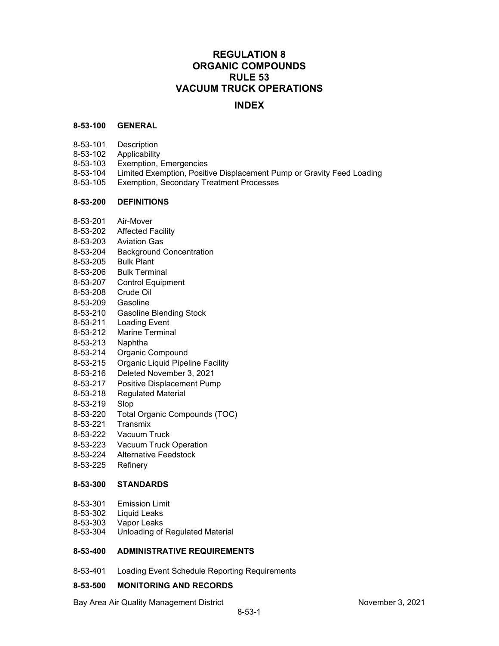# **REGULATION 8 ORGANIC COMPOUNDS RULE 53 VACUUM TRUCK OPERATIONS**

## **INDEX**

#### **8-53-100 GENERAL**

- 8-53-101 Description
- 
- 8-53-102 Applicability<br>8-53-103 Exemption, I Exemption, Emergencies
- 8-53-104 Limited Exemption, Positive Displacement Pump or Gravity Feed Loading
- 8-53-105 Exemption, Secondary Treatment Processes

#### **8-53-200 DEFINITIONS**

- 8-53-201 Air-Mover
- 8-53-202 Affected Facility
- 8-53-203 Aviation Gas
- 8-53-204 Background Concentration
- 8-53-205 Bulk Plant
- 8-53-206 Bulk Terminal
- 8-53-207 Control Equipment
- 8-53-208 Crude Oil
- 8-53-209 Gasoline
- 8-53-210 Gasoline Blending Stock
- 8-53-211 Loading Event
- 8-53-212 Marine Terminal
- 8-53-213 Naphtha
- 8-53-214 Organic Compound
- 8-53-215 Organic Liquid Pipeline Facility<br>8-53-216 Deleted November 3, 2021
- Deleted November 3, 2021
- 8-53-217 Positive Displacement Pump
- 8-53-218 Regulated Material
- 8-53-219 Slop
- 8-53-220 Total Organic Compounds (TOC)
- 8-53-221 Transmix
- 8-53-222 Vacuum Truck
- 8-53-223 Vacuum Truck Operation
- 8-53-224 Alternative Feedstock
- 8-53-225 Refinery

#### **8-53-300 STANDARDS**

- 8-53-301 Emission Limit
- 8-53-302 Liquid Leaks
- 8-53-303 Vapor Leaks
- 8-53-304 Unloading of Regulated Material

#### **8-53-400 ADMINISTRATIVE REQUIREMENTS**

8-53-401 Loading Event Schedule Reporting Requirements

## **8-53-500 MONITORING AND RECORDS**

Bay Area Air Quality Management District November 3, 2021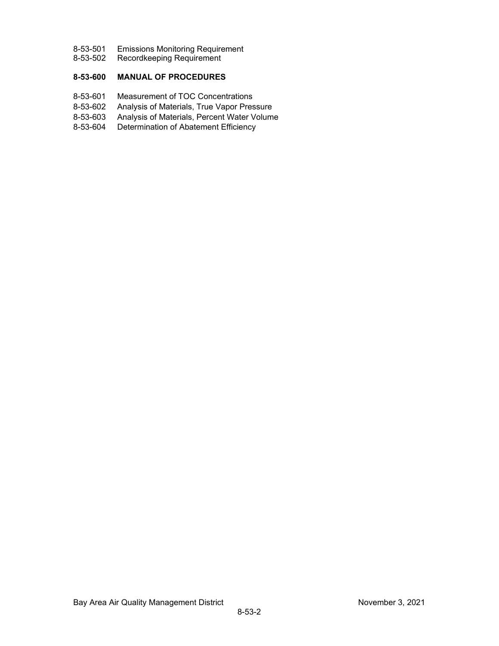- 8-53-501 Emissions Monitoring Requirement
- 8-53-502 Recordkeeping Requirement

## **8-53-600 MANUAL OF PROCEDURES**

- 8-53-601 Measurement of TOC Concentrations
- 8-53-602 Analysis of Materials, True Vapor Pressure
- 8-53-603 Analysis of Materials, Percent Water Volume
- 8-53-604 Determination of Abatement Efficiency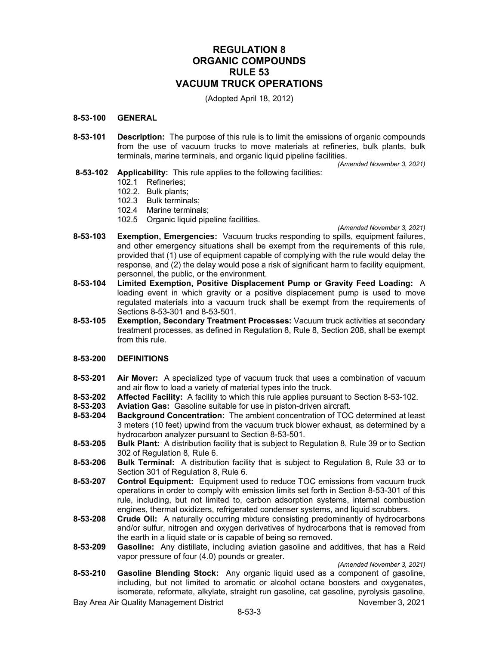## **REGULATION 8 ORGANIC COMPOUNDS RULE 53 VACUUM TRUCK OPERATIONS**

(Adopted April 18, 2012)

#### **8-53-100 GENERAL**

**8-53-101 Description:** The purpose of this rule is to limit the emissions of organic compounds from the use of vacuum trucks to move materials at refineries, bulk plants, bulk terminals, marine terminals, and organic liquid pipeline facilities.

*(Amended November 3, 2021)*

- **8-53-102 Applicability:** This rule applies to the following facilities:
	- 102.1 Refineries;
	- 102.2. Bulk plants;
	- 102.3 Bulk terminals;
	- 102.4 Marine terminals;
	- 102.5 Organic liquid pipeline facilities.

*(Amended November 3, 2021)*

- **8-53-103 Exemption, Emergencies:** Vacuum trucks responding to spills, equipment failures, and other emergency situations shall be exempt from the requirements of this rule, provided that (1) use of equipment capable of complying with the rule would delay the response, and (2) the delay would pose a risk of significant harm to facility equipment, personnel, the public, or the environment.
- **8-53-104 Limited Exemption, Positive Displacement Pump or Gravity Feed Loading:** A loading event in which gravity or a positive displacement pump is used to move regulated materials into a vacuum truck shall be exempt from the requirements of Sections 8-53-301 and 8-53-501.
- **8-53-105 Exemption, Secondary Treatment Processes:** Vacuum truck activities at secondary treatment processes, as defined in Regulation 8, Rule 8, Section 208, shall be exempt from this rule.

#### **8-53-200 DEFINITIONS**

- **8-53-201 Air Mover:** A specialized type of vacuum truck that uses a combination of vacuum and air flow to load a variety of material types into the truck.
- **8-53-202 Affected Facility:** A facility to which this rule applies pursuant to Section 8-53-102.
- **8-53-203 Aviation Gas:** Gasoline suitable for use in piston-driven aircraft.
- **8-53-204 Background Concentration:** The ambient concentration of TOC determined at least 3 meters (10 feet) upwind from the vacuum truck blower exhaust, as determined by a hydrocarbon analyzer pursuant to Section 8-53-501.
- **8-53-205 Bulk Plant:** A distribution facility that is subject to Regulation 8, Rule 39 or to Section 302 of Regulation 8, Rule 6.
- **8-53-206 Bulk Terminal:** A distribution facility that is subject to Regulation 8, Rule 33 or to Section 301 of Regulation 8, Rule 6.
- **8-53-207 Control Equipment:** Equipment used to reduce TOC emissions from vacuum truck operations in order to comply with emission limits set forth in Section 8-53-301 of this rule, including, but not limited to, carbon adsorption systems, internal combustion engines, thermal oxidizers, refrigerated condenser systems, and liquid scrubbers.
- **8-53-208 Crude Oil:** A naturally occurring mixture consisting predominantly of hydrocarbons and/or sulfur, nitrogen and oxygen derivatives of hydrocarbons that is removed from the earth in a liquid state or is capable of being so removed.
- **8-53-209 Gasoline:** Any distillate, including aviation gasoline and additives, that has a Reid vapor pressure of four (4.0) pounds or greater.

*(Amended November 3, 2021)*

**8-53-210 Gasoline Blending Stock:** Any organic liquid used as a component of gasoline, including, but not limited to aromatic or alcohol octane boosters and oxygenates, isomerate, reformate, alkylate, straight run gasoline, cat gasoline, pyrolysis gasoline,

Bay Area Air Quality Management District November 3, 2021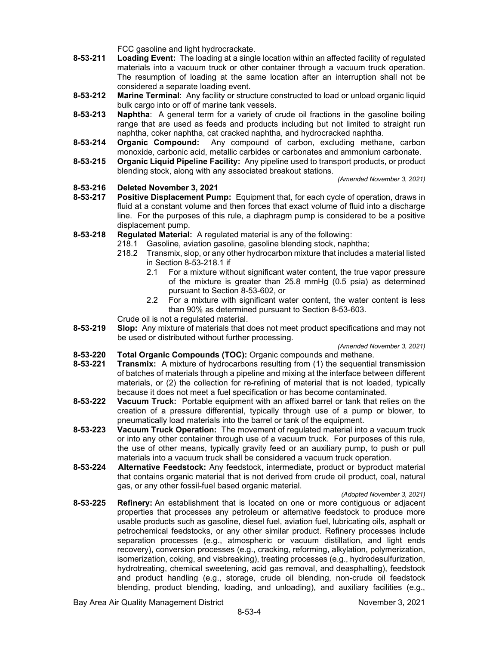FCC gasoline and light hydrocrackate.

- **8-53-211 Loading Event:** The loading at a single location within an affected facility of regulated materials into a vacuum truck or other container through a vacuum truck operation. The resumption of loading at the same location after an interruption shall not be considered a separate loading event.
- **8-53-212 Marine Terminal**: Any facility or structure constructed to load or unload organic liquid bulk cargo into or off of marine tank vessels.
- **8-53-213 Naphtha**: A general term for a variety of crude oil fractions in the gasoline boiling range that are used as feeds and products including but not limited to straight run naphtha, coker naphtha, cat cracked naphtha, and hydrocracked naphtha.
- **8-53-214 Organic Compound:** Any compound of carbon, excluding methane, carbon monoxide, carbonic acid, metallic carbides or carbonates and ammonium carbonate.
- **8-53-215 Organic Liquid Pipeline Facility:** Any pipeline used to transport products, or product blending stock, along with any associated breakout stations.

*(Amended November 3, 2021)*

# **8-53-216 Deleted November 3, 2021**

- **Positive Displacement Pump:** Equipment that, for each cycle of operation, draws in fluid at a constant volume and then forces that exact volume of fluid into a discharge line. For the purposes of this rule, a diaphragm pump is considered to be a positive displacement pump.
- **8-53-218 Regulated Material:** A regulated material is any of the following:
	- 218.1 Gasoline, aviation gasoline, gasoline blending stock, naphtha;
	- 218.2 Transmix, slop, or any other hydrocarbon mixture that includes a material listed in Section 8-53-218.1 if
		- 2.1 For a mixture without significant water content, the true vapor pressure of the mixture is greater than 25.8 mmHg (0.5 psia) as determined pursuant to Section 8-53-602, or
		- 2.2 For a mixture with significant water content, the water content is less than 90% as determined pursuant to Section 8-53-603.

Crude oil is not a regulated material.

**8-53-219 Slop:** Any mixture of materials that does not meet product specifications and may not be used or distributed without further processing.

- **8-53-220 Total Organic Compounds (TOC):** Organic compounds and methane.
- **8-53-221 Transmix:** A mixture of hydrocarbons resulting from (1) the sequential transmission of batches of materials through a pipeline and mixing at the interface between different materials, or (2) the collection for re-refining of material that is not loaded, typically because it does not meet a fuel specification or has become contaminated.
- **8-53-222 Vacuum Truck:** Portable equipment with an affixed barrel or tank that relies on the creation of a pressure differential, typically through use of a pump or blower, to pneumatically load materials into the barrel or tank of the equipment.
- **8-53-223 Vacuum Truck Operation:** The movement of regulated material into a vacuum truck or into any other container through use of a vacuum truck. For purposes of this rule, the use of other means, typically gravity feed or an auxiliary pump, to push or pull materials into a vacuum truck shall be considered a vacuum truck operation.
- **8-53-224 Alternative Feedstock:** Any feedstock, intermediate, product or byproduct material that contains organic material that is not derived from crude oil product, coal, natural gas, or any other fossil-fuel based organic material.

#### *(Adopted November 3, 2021)*

**8-53-225 Refinery:** An establishment that is located on one or more contiguous or adjacent properties that processes any petroleum or alternative feedstock to produce more usable products such as gasoline, diesel fuel, aviation fuel, lubricating oils, asphalt or petrochemical feedstocks, or any other similar product. Refinery processes include separation processes (e.g., atmospheric or vacuum distillation, and light ends recovery), conversion processes (e.g., cracking, reforming, alkylation, polymerization, isomerization, coking, and visbreaking), treating processes (e.g., hydrodesulfurization, hydrotreating, chemical sweetening, acid gas removal, and deasphalting), feedstock and product handling (e.g., storage, crude oil blending, non-crude oil feedstock blending, product blending, loading, and unloading), and auxiliary facilities (e.g.,

*<sup>(</sup>Amended November 3, 2021)*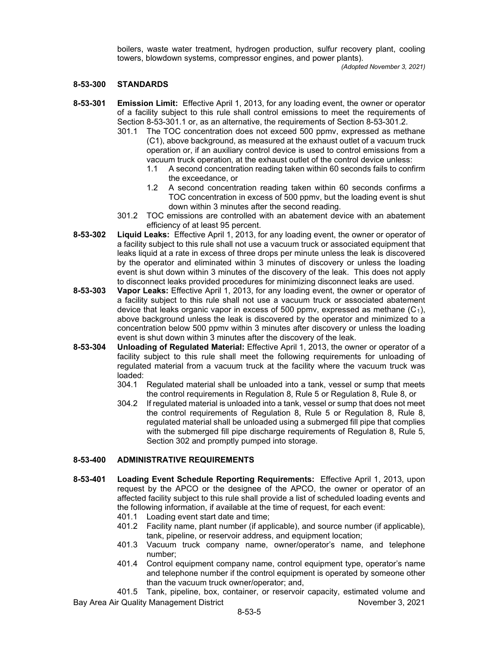boilers, waste water treatment, hydrogen production, sulfur recovery plant, cooling towers, blowdown systems, compressor engines, and power plants).

*(Adopted November 3, 2021)*

#### **8-53-300 STANDARDS**

- **8-53-301 Emission Limit:** Effective April 1, 2013, for any loading event, the owner or operator of a facility subject to this rule shall control emissions to meet the requirements of Section 8-53-301.1 or, as an alternative, the requirements of Section 8-53-301.2.
	- 301.1 The TOC concentration does not exceed 500 ppmv, expressed as methane (C1), above background, as measured at the exhaust outlet of a vacuum truck operation or, if an auxiliary control device is used to control emissions from a vacuum truck operation, at the exhaust outlet of the control device unless:
		- 1.1 A second concentration reading taken within 60 seconds fails to confirm the exceedance, or
		- 1.2 A second concentration reading taken within 60 seconds confirms a TOC concentration in excess of 500 ppmv, but the loading event is shut down within 3 minutes after the second reading.
	- 301.2 TOC emissions are controlled with an abatement device with an abatement efficiency of at least 95 percent.
- **8-53-302 Liquid Leaks:** Effective April 1, 2013, for any loading event, the owner or operator of a facility subject to this rule shall not use a vacuum truck or associated equipment that leaks liquid at a rate in excess of three drops per minute unless the leak is discovered by the operator and eliminated within 3 minutes of discovery or unless the loading event is shut down within 3 minutes of the discovery of the leak. This does not apply to disconnect leaks provided procedures for minimizing disconnect leaks are used.
- **8-53-303 Vapor Leaks:** Effective April 1, 2013, for any loading event, the owner or operator of a facility subject to this rule shall not use a vacuum truck or associated abatement device that leaks organic vapor in excess of 500 ppmv, expressed as methane  $(C_1)$ , above background unless the leak is discovered by the operator and minimized to a concentration below 500 ppmv within 3 minutes after discovery or unless the loading event is shut down within 3 minutes after the discovery of the leak.
- **8-53-304 Unloading of Regulated Material:** Effective April 1, 2013, the owner or operator of a facility subject to this rule shall meet the following requirements for unloading of regulated material from a vacuum truck at the facility where the vacuum truck was loaded:
	- 304.1 Regulated material shall be unloaded into a tank, vessel or sump that meets the control requirements in Regulation 8, Rule 5 or Regulation 8, Rule 8, or
	- 304.2 If regulated material is unloaded into a tank, vessel or sump that does not meet the control requirements of Regulation 8, Rule 5 or Regulation 8, Rule 8, regulated material shall be unloaded using a submerged fill pipe that complies with the submerged fill pipe discharge requirements of Regulation 8, Rule 5, Section 302 and promptly pumped into storage.

## **8-53-400 ADMINISTRATIVE REQUIREMENTS**

- **8-53-401 Loading Event Schedule Reporting Requirements:** Effective April 1, 2013, upon request by the APCO or the designee of the APCO, the owner or operator of an affected facility subject to this rule shall provide a list of scheduled loading events and the following information, if available at the time of request, for each event:
	- 401.1 Loading event start date and time;
	- 401.2 Facility name, plant number (if applicable), and source number (if applicable), tank, pipeline, or reservoir address, and equipment location;
	- 401.3 Vacuum truck company name, owner/operator's name, and telephone number;
	- 401.4 Control equipment company name, control equipment type, operator's name and telephone number if the control equipment is operated by someone other than the vacuum truck owner/operator; and,

Bay Area Air Quality Management District November 3, 2021 401.5 Tank, pipeline, box, container, or reservoir capacity, estimated volume and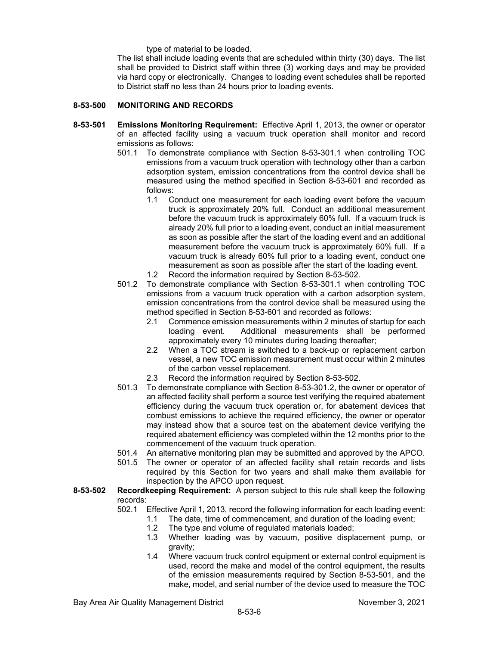type of material to be loaded.

The list shall include loading events that are scheduled within thirty (30) days. The list shall be provided to District staff within three (3) working days and may be provided via hard copy or electronically. Changes to loading event schedules shall be reported to District staff no less than 24 hours prior to loading events.

#### **8-53-500 MONITORING AND RECORDS**

- **8-53-501 Emissions Monitoring Requirement:** Effective April 1, 2013, the owner or operator of an affected facility using a vacuum truck operation shall monitor and record emissions as follows:
	- 501.1 To demonstrate compliance with Section 8-53-301.1 when controlling TOC emissions from a vacuum truck operation with technology other than a carbon adsorption system, emission concentrations from the control device shall be measured using the method specified in Section 8-53-601 and recorded as follows:
		- 1.1 Conduct one measurement for each loading event before the vacuum truck is approximately 20% full. Conduct an additional measurement before the vacuum truck is approximately 60% full. If a vacuum truck is already 20% full prior to a loading event, conduct an initial measurement as soon as possible after the start of the loading event and an additional measurement before the vacuum truck is approximately 60% full. If a vacuum truck is already 60% full prior to a loading event, conduct one measurement as soon as possible after the start of the loading event.
		- 1.2 Record the information required by Section 8-53-502.
	- 501.2 To demonstrate compliance with Section 8-53-301.1 when controlling TOC emissions from a vacuum truck operation with a carbon adsorption system, emission concentrations from the control device shall be measured using the method specified in Section 8-53-601 and recorded as follows:
		- 2.1 Commence emission measurements within 2 minutes of startup for each loading event. Additional measurements shall be performed approximately every 10 minutes during loading thereafter;
		- 2.2 When a TOC stream is switched to a back-up or replacement carbon vessel, a new TOC emission measurement must occur within 2 minutes of the carbon vessel replacement.
		- 2.3 Record the information required by Section 8-53-502.
	- 501.3 To demonstrate compliance with Section 8-53-301.2, the owner or operator of an affected facility shall perform a source test verifying the required abatement efficiency during the vacuum truck operation or, for abatement devices that combust emissions to achieve the required efficiency, the owner or operator may instead show that a source test on the abatement device verifying the required abatement efficiency was completed within the 12 months prior to the commencement of the vacuum truck operation.
	- 501.4 An alternative monitoring plan may be submitted and approved by the APCO.
	- 501.5 The owner or operator of an affected facility shall retain records and lists required by this Section for two years and shall make them available for inspection by the APCO upon request.
- **8-53-502 Recordkeeping Requirement:** A person subject to this rule shall keep the following records:
	- 502.1 Effective April 1, 2013, record the following information for each loading event:
		- 1.1 The date, time of commencement, and duration of the loading event;
		- 1.2 The type and volume of regulated materials loaded;<br>1.3 Whether loading was by vacuum positive displa
		- Whether loading was by vacuum, positive displacement pump, or gravity;
		- 1.4 Where vacuum truck control equipment or external control equipment is used, record the make and model of the control equipment, the results of the emission measurements required by Section 8-53-501, and the make, model, and serial number of the device used to measure the TOC